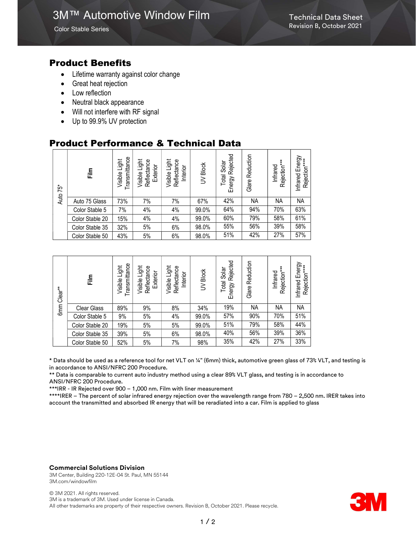Color Stable Series

## Product Benefits

- Lifetime warranty against color change
- Great heat rejection
- Low reflection
- Neutral black appearance
- Will not interfere with RF signal
- Up to 99.9% UV protection

### Product Performance & Technical Data

| 75*  | 들               | Transmittance<br>Light<br>Visible | Light<br>Reflectance<br>Exterior<br>Visible | Visible Light<br>Reflectance<br>Interior | <b>Block</b><br>$\geq$ | Rejected<br>Solar<br>Total<br>Energy | Reduction<br>Glare | Rejection***<br>Infrared | nfrared Energy<br>Rejection****<br>Infrared |
|------|-----------------|-----------------------------------|---------------------------------------------|------------------------------------------|------------------------|--------------------------------------|--------------------|--------------------------|---------------------------------------------|
| Auto | Auto 75 Glass   | 73%                               | 7%                                          | 7%                                       | 67%                    | 42%                                  | <b>NA</b>          | <b>NA</b>                | <b>NA</b>                                   |
|      | Color Stable 5  | 7%                                | 4%                                          | 4%                                       | 99.0%                  | 64%                                  | 94%                | 70%                      | 63%                                         |
|      | Color Stable 20 | 15%                               | 4%                                          | 4%                                       | 99.0%                  | 60%                                  | 79%                | 58%                      | 61%                                         |
|      | Color Stable 35 | 32%                               | 5%                                          | 6%                                       | 98.0%                  | 55%                                  | 56%                | 39%                      | 58%                                         |
|      | Color Stable 50 | 43%                               | 5%                                          | 6%                                       | 98.0%                  | 51%                                  | 42%                | 27%                      | 57%                                         |

| Clear**         | Film               | Transmittance<br>Light<br>Visible | Light<br>Reflectance<br>Exterior<br>Visible | Light<br>Reflectance<br>Interior<br>Visible I | <b>Block</b><br>$\geq$ | Rejected<br>Solar<br>Total<br>Energy | Reduction<br>Glare | Rejection***<br>Infrared | nfrared Energy<br>Rejection****<br>Infrared |
|-----------------|--------------------|-----------------------------------|---------------------------------------------|-----------------------------------------------|------------------------|--------------------------------------|--------------------|--------------------------|---------------------------------------------|
| 6 <sub>mm</sub> | <b>Clear Glass</b> | 89%                               | 9%                                          | 8%                                            | 34%                    | 19%                                  | <b>NA</b>          | <b>NA</b>                | <b>NA</b>                                   |
|                 | Color Stable 5     | 9%                                | 5%                                          | 4%                                            | 99.0%                  | 57%                                  | 90%                | 70%                      | 51%                                         |
|                 | Color Stable 20    | 19%                               | 5%                                          | 5%                                            | 99.0%                  | 51%                                  | 79%                | 58%                      | 44%                                         |
|                 | Color Stable 35    | 39%                               | 5%                                          | 6%                                            | 98.0%                  | 40%                                  | 56%                | 39%                      | 36%                                         |
|                 | Color Stable 50    | 52%                               | 5%                                          | 7%                                            | 98%                    | 35%                                  | 42%                | 27%                      | 33%                                         |

\* Data should be used as a reference tool for net VLT on ¼" (6mm) thick, automotive green glass of 73% VLT, and testing is in accordance to ANSI/NFRC 200 Procedure.

\*\* Data is comparable to current auto industry method using a clear 89% VLT glass, and testing is in accordance to ANSI/NFRC 200 Procedure.

\*\*\*IRR - IR Rejected over 900 – 1,000 nm. Film with liner measurement

\*\*\*\*IRER – The percent of solar infrared energy rejection over the wavelength range from 780 – 2,500 nm. IRER takes into account the transmitted and absorbed IR energy that will be reradiated into a car. Film is applied to glass

#### Commercial Solutions Division

3M Center, Building 220-12E-04 St. Paul, MN 55144 3M.com/windowfilm

© 3M 2021. All rights reserved. 3M is a trademark of 3M. Used under license in Canada. All other trademarks are property of their respective owners. Revision B, October 2021. Please recycle.